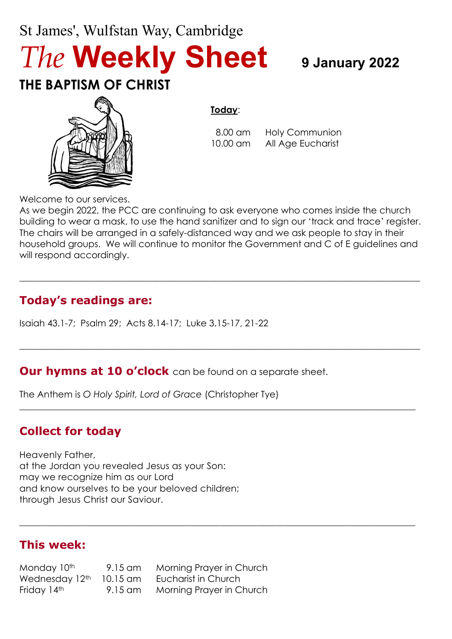# St James', Wulfstan Way, Cambridge *The* **Weekly Sheet <sup>9</sup> January 2022**

## **THE BAPTISM OF CHRIST**



#### **Today**:

 8.00 am Holy Communion 10.00 am All Age Eucharist

Welcome to our services.

As we begin 2022, the PCC are continuing to ask everyone who comes inside the church building to wear a mask, to use the hand sanitizer and to sign our 'track and trace' register. The chairs will be arranged in a safely-distanced way and we ask people to stay in their household groups. We will continue to monitor the Government and C of E guidelines and will respond accordingly.

 $\_$  , and the set of the set of the set of the set of the set of the set of the set of the set of the set of the set of the set of the set of the set of the set of the set of the set of the set of the set of the set of th

 $\_$  , and the set of the set of the set of the set of the set of the set of the set of the set of the set of the set of the set of the set of the set of the set of the set of the set of the set of the set of the set of th

 $\_$  , and the set of the set of the set of the set of the set of the set of the set of the set of the set of the set of the set of the set of the set of the set of the set of the set of the set of the set of the set of th

\_\_\_\_\_\_\_\_\_\_\_\_\_\_\_\_\_\_\_\_\_\_\_\_\_\_\_\_\_\_\_\_\_\_\_\_\_\_\_\_\_\_\_\_\_\_\_\_\_\_\_\_\_\_\_\_\_\_\_\_\_\_\_\_\_\_\_\_\_\_\_\_\_\_\_\_\_\_\_\_\_\_\_\_\_

### **Today's readings are:**

Isaiah 43.1-7; Psalm 29; Acts 8.14-17; Luke 3.15-17, 21-22

#### **Our hymns at 10 o'clock** can be found on a separate sheet.

The Anthem is *O Holy Spirit, Lord of Grace* (Christopher Tye)

### **Collect for today**

Heavenly Father, at the Jordan you revealed Jesus as your Son: may we recognize him as our Lord and know ourselves to be your beloved children; through Jesus Christ our Saviour.

#### **This week:**

Monday 10<sup>th</sup> 9.15 am Morning Prayer in Church Wednesday 12<sup>th</sup> 10.15 am Eucharist in Church Friday 14<sup>th</sup> 9.15 am Morning Prayer in Church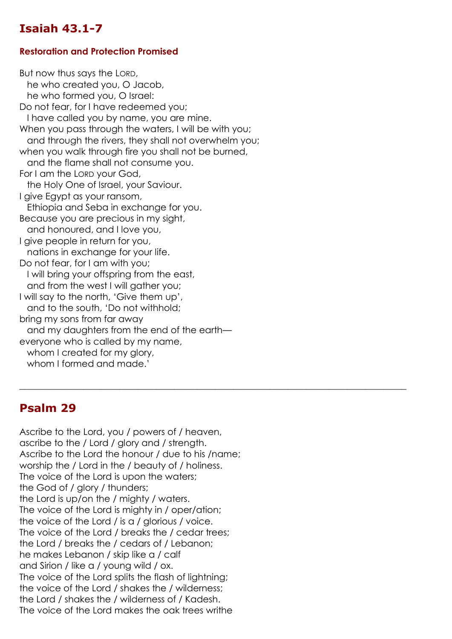### **Isaiah 43.1-7**

#### **Restoration and Protection Promised**

But now thus says the LORD, he who created you, O Jacob, he who formed you, O Israel: Do not fear, for I have redeemed you; I have called you by name, you are mine. When you pass through the waters, I will be with you; and through the rivers, they shall not overwhelm you; when you walk through fire you shall not be burned, and the flame shall not consume you. For I am the LORD your God, the Holy One of Israel, your Saviour. I give Egypt as your ransom, Ethiopia and Seba in exchange for you. Because you are precious in my sight, and honoured, and I love you, I give people in return for you, nations in exchange for your life. Do not fear, for I am with you; I will bring your offspring from the east, and from the west I will gather you; I will say to the north, 'Give them up', and to the south, 'Do not withhold; bring my sons from far away and my daughters from the end of the earth everyone who is called by my name, whom I created for my glory, whom I formed and made.'

 $\_$  , and the set of the set of the set of the set of the set of the set of the set of the set of the set of the set of the set of the set of the set of the set of the set of the set of the set of the set of the set of th

#### **Psalm 29**

Ascribe to the Lord, you / powers of / heaven, ascribe to the / Lord / glory and / strength. Ascribe to the Lord the honour / due to his /name; worship the / Lord in the / beauty of / holiness. The voice of the Lord is upon the waters; the God of / glory / thunders; the Lord is up/on the / mighty / waters. The voice of the Lord is mighty in / oper/ation; the voice of the Lord / is a / glorious / voice. The voice of the Lord / breaks the / cedar trees: the Lord / breaks the / cedars of / Lebanon; he makes Lebanon / skip like a / calf and Sirion / like a / young wild / ox. The voice of the Lord splits the flash of lightning; the voice of the Lord / shakes the / wilderness; the Lord / shakes the / wilderness of / Kadesh. The voice of the Lord makes the oak trees writhe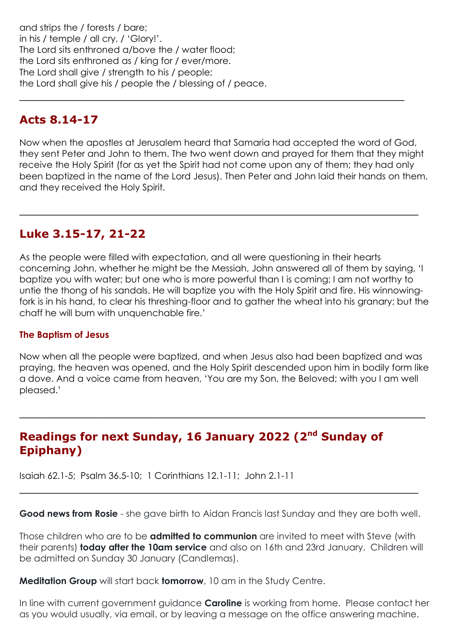and strips the / forests / bare; in his / temple / all cry, / 'Glory!'. The Lord sits enthroned a/bove the / water flood; the Lord sits enthroned as / king for / ever/more. The Lord shall give / strength to his / people; the Lord shall give his / people the / blessing of / peace.

#### **Acts 8.14-17**

Now when the apostles at Jerusalem heard that Samaria had accepted the word of God, they sent Peter and John to them. The two went down and prayed for them that they might receive the Holy Spirit (for as yet the Spirit had not come upon any of them; they had only been baptized in the name of the Lord Jesus). Then Peter and John laid their hands on them, and they received the Holy Spirit.

\_\_\_\_\_\_\_\_\_\_\_\_\_\_\_\_\_\_\_\_\_\_\_\_\_\_\_\_\_\_\_\_\_\_\_\_\_\_\_\_\_\_\_\_\_\_\_\_\_\_\_\_\_\_\_\_\_

\_\_\_\_\_\_\_\_\_\_\_\_\_\_\_\_\_\_\_\_\_\_\_\_\_\_\_\_\_\_\_\_\_\_\_\_\_\_\_\_\_\_\_\_\_\_\_\_\_\_\_\_\_\_\_

#### **Luke 3.15-17, 21-22**

As the people were filled with expectation, and all were questioning in their hearts concerning John, whether he might be the Messiah, John answered all of them by saying, 'I baptize you with water; but one who is more powerful than I is coming; I am not worthy to untie the thong of his sandals. He will baptize you with the Holy Spirit and fire. His winnowingfork is in his hand, to clear his threshing-floor and to gather the wheat into his granary; but the chaff he will burn with unquenchable fire.'

#### **The Baptism of Jesus**

Now when all the people were baptized, and when Jesus also had been baptized and was praying, the heaven was opened, and the Holy Spirit descended upon him in bodily form like a dove. And a voice came from heaven, 'You are my Son, the Beloved; with you I am well pleased.'

\_\_\_\_\_\_\_\_\_\_\_\_\_\_\_\_\_\_\_\_\_\_\_\_\_\_\_\_\_\_\_\_\_\_\_\_\_\_\_\_\_\_\_\_\_\_\_\_\_\_\_\_\_\_\_\_\_\_

#### **Readings for next Sunday, 16 January 2022 (2<sup>nd</sup> Sunday of Epiphany)**

Isaiah 62.1-5; Psalm 36.5-10; 1 Corinthians 12.1-11; John 2.1-11

**Good news from Rosie** - she gave birth to Aidan Francis last Sunday and they are both well.

\_\_\_\_\_\_\_\_\_\_\_\_\_\_\_\_\_\_\_\_\_\_\_\_\_\_\_\_\_\_\_\_\_\_\_\_\_\_\_\_\_\_\_\_\_\_\_\_\_\_\_\_\_\_\_\_\_

Those children who are to be **admitted to communion** are invited to meet with Steve (with their parents) **today after the 10am service** and also on 16th and 23rd January. Children will be admitted on Sunday 30 January (Candlemas).

**Meditation Group** will start back **tomorrow**, 10 am in the Study Centre.

In line with current government guidance **Caroline** is working from home. Please contact her as you would usually, via email, or by leaving a message on the office answering machine.